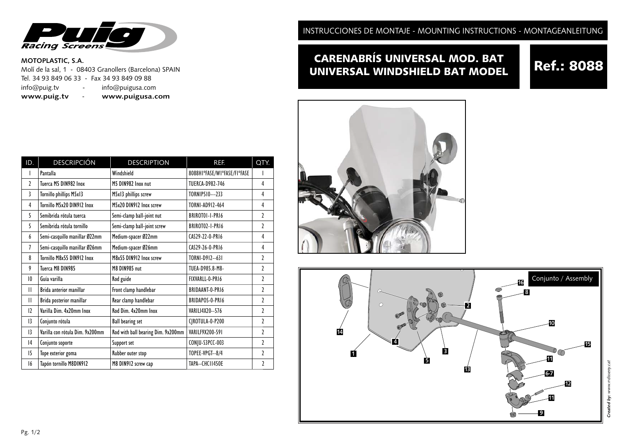

### **MOTOPLASTIC, S.A.**

Molí de la sal, 1 - 08403 Granollers (Barcelona) SPAIN Tel. 34 93 849 06 33 - Fax 34 93 849 09 88<br>info@puig.tv - info@puigusa.com - info@puigusa.com **www.puig.tv** - **www.puigusa.com**

| ID.                      | <b>DESCRIPCIÓN</b>              | <b>DESCRIPTION</b>                 | REF.                        | QTY.           |
|--------------------------|---------------------------------|------------------------------------|-----------------------------|----------------|
| I                        | Pantalla                        | Windshield                         | 8088HIºFASE/WIºFASE/FIºFASE |                |
| $\overline{\phantom{a}}$ | Tuerca M5 DIN982 Inox           | M5 DIN982 Inox nut                 | <b>TUERCA-D982-746</b>      | 4              |
| 3                        | Tornillo phillips M5x13         | M5x13 phillips screw               | TORNIP510---233             | 4              |
| 4                        | Tornillo M5x20 DIN912 Inox      | M5x20 DIN912 Inox screw            | TORNI-AD912-464             | 4              |
| 5                        | Semibrida rótula tuerca         | Semi-clamp ball-joint nut          | BRIROTOI-I-PRI6             | 2              |
| 5                        | Semibrida rótula tornillo       | Semi-clamp ball-joint screw        | BRIROTO2-I-PRI6             | $\mathfrak z$  |
| 6                        | Semi-casquillo manillar Ø22mm   | Medium-spacer Ø22mm                | CAS29-22-0-PR16             | 4              |
| 7                        | Semi-casquillo manillar Ø26mm   | Medium-spacer Ø26mm                | CAS29-26-0-PR16             | 4              |
| 8                        | Tornillo M8x55 DIN912 Inox      | M8x55 DIN912 Inox screw            | TORNI-D912--631             | $\mathfrak z$  |
| 9                        | Tuerca M8 DIN985                | M8 DIN985 nut                      | TUEA-D985.8-M8-             | $\mathfrak z$  |
| 10                       | Guía varilla                    | Rod guide                          | FIXVARLL-0-PRI6             | $\mathfrak z$  |
| Ш                        | Brida anterior manillar         | Front clamp handlebar              | <b>BRIDAANT-0-PRI6</b>      | 7              |
| $\mathsf{II}$            | Brida posterior manillar        | Rear clamp handlebar               | BRIDAPOS-0-PRI6             | $\mathfrak z$  |
| 12                       | Varilla Dim. 4x20mm Inox        | Rod Dim. 4x20mm Inox               | VARILI4X20--576             | 7              |
| 13                       | Conjunto rótula                 | <b>Ball bearing set</b>            | CJROTULA-0-P200             | $\mathfrak{p}$ |
| 13                       | Varilla con rótula Dim. 9x200mm | Rod with ball bearing Dim. 9x200mm | VARILF9X200-591             | 7              |
| 4                        | Conjunto soporte                | Support set                        | CONJU-S3PCC-003             | $\mathfrak{p}$ |
| 15                       | Tope exterior goma              | Rubber outer stop                  | TOPEE-VPGT--8/4             | $\mathfrak{p}$ |
| 16                       | Tapón tornillo M8DIN912         | M8 DIN912 screw cap                | TAPA--CHC11450E             | 2              |

INSTRUCCIONES DE MONTAJE - MOUNTING INSTRUCTIONS - MONTAGEANLEITUNG

## CARENABRÍS UNIVERSAL MOD. BAT **CARENABRIS UNIVERSAL MOD. BAT Ref.: 8088**